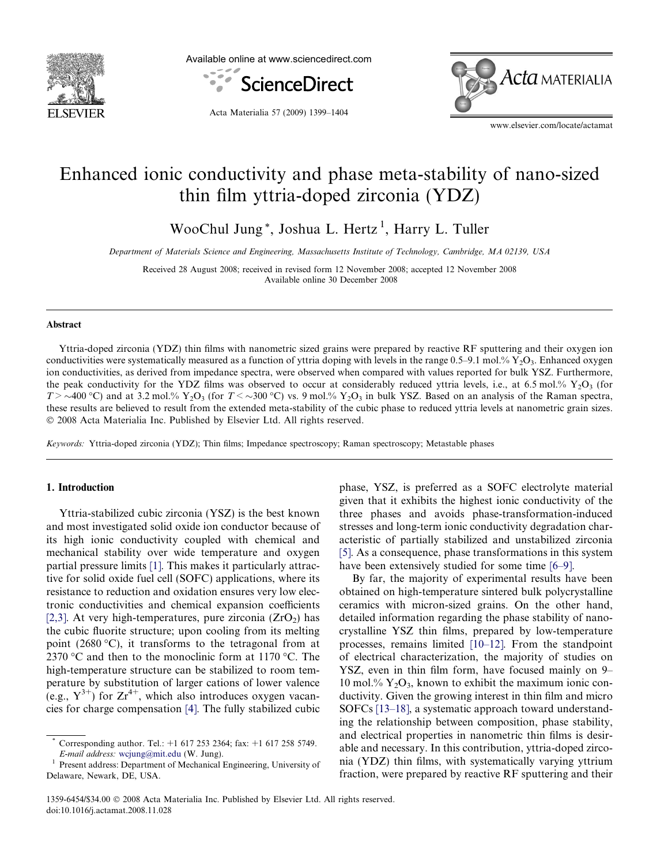

Available online at www.sciencedirect.com



Acta Materialia 57 (2009) 1399–1404



www.elsevier.com/locate/actamat

# Enhanced ionic conductivity and phase meta-stability of nano-sized thin film yttria-doped zirconia (YDZ)

WooChul Jung<sup>\*</sup>, Joshua L. Hertz<sup>1</sup>, Harry L. Tuller

Department of Materials Science and Engineering, Massachusetts Institute of Technology, Cambridge, MA 02139, USA

Received 28 August 2008; received in revised form 12 November 2008; accepted 12 November 2008 Available online 30 December 2008

#### Abstract

Yttria-doped zirconia (YDZ) thin films with nanometric sized grains were prepared by reactive RF sputtering and their oxygen ion conductivities were systematically measured as a function of yttria doping with levels in the range  $0.5-9.1$  mol.%  $Y_2O_3$ . Enhanced oxygen ion conductivities, as derived from impedance spectra, were observed when compared with values reported for bulk YSZ. Furthermore, the peak conductivity for the YDZ films was observed to occur at considerably reduced yttria levels, i.e., at 6.5 mol.%  $Y_2O_3$  (for  $T > \sim 400$  °C) and at 3.2 mol.% Y<sub>2</sub>O<sub>3</sub> (for  $T < \sim 300$  °C) vs. 9 mol.% Y<sub>2</sub>O<sub>3</sub> in bulk YSZ. Based on an analysis of the Raman spectra, these results are believed to result from the extended meta-stability of the cubic phase to reduced yttria levels at nanometric grain sizes. 2008 Acta Materialia Inc. Published by Elsevier Ltd. All rights reserved.

Keywords: Yttria-doped zirconia (YDZ); Thin films; Impedance spectroscopy; Raman spectroscopy; Metastable phases

# 1. Introduction

Yttria-stabilized cubic zirconia (YSZ) is the best known and most investigated solid oxide ion conductor because of its high ionic conductivity coupled with chemical and mechanical stability over wide temperature and oxygen partial pressure limits [\[1\].](#page-5-0) This makes it particularly attractive for solid oxide fuel cell (SOFC) applications, where its resistance to reduction and oxidation ensures very low electronic conductivities and chemical expansion coefficients [\[2,3\].](#page-5-0) At very high-temperatures, pure zirconia  $(ZrO<sub>2</sub>)$  has the cubic fluorite structure; upon cooling from its melting point (2680 °C), it transforms to the tetragonal from at 2370 °C and then to the monoclinic form at 1170 °C. The high-temperature structure can be stabilized to room temperature by substitution of larger cations of lower valence (e.g.,  $Y^{3+}$ ) for  $Zr^{4+}$ , which also introduces oxygen vacancies for charge compensation [\[4\]](#page-5-0). The fully stabilized cubic

phase, YSZ, is preferred as a SOFC electrolyte material given that it exhibits the highest ionic conductivity of the three phases and avoids phase-transformation-induced stresses and long-term ionic conductivity degradation characteristic of partially stabilized and unstabilized zirconia [\[5\].](#page-5-0) As a consequence, phase transformations in this system have been extensively studied for some time [\[6–9\].](#page-5-0)

By far, the majority of experimental results have been obtained on high-temperature sintered bulk polycrystalline ceramics with micron-sized grains. On the other hand, detailed information regarding the phase stability of nanocrystalline YSZ thin films, prepared by low-temperature processes, remains limited [\[10–12\].](#page-5-0) From the standpoint of electrical characterization, the majority of studies on YSZ, even in thin film form, have focused mainly on 9– 10 mol.%  $Y_2O_3$ , known to exhibit the maximum ionic conductivity. Given the growing interest in thin film and micro SOFCs [\[13–18\]](#page-5-0), a systematic approach toward understanding the relationship between composition, phase stability, and electrical properties in nanometric thin films is desirable and necessary. In this contribution, yttria-doped zirconia (YDZ) thin films, with systematically varying yttrium fraction, were prepared by reactive RF sputtering and their

Corresponding author. Tel.: +1 617 253 2364; fax: +1 617 258 5749. E-mail address: [wcjung@mit.edu](mailto:wcjung@mit.edu) (W. Jung).<br><sup>1</sup> Present address: Department of Mechanical Engineering, University of

Delaware, Newark, DE, USA.

<sup>1359-6454/\$34.00</sup> 2008 Acta Materialia Inc. Published by Elsevier Ltd. All rights reserved. doi:10.1016/j.actamat.2008.11.028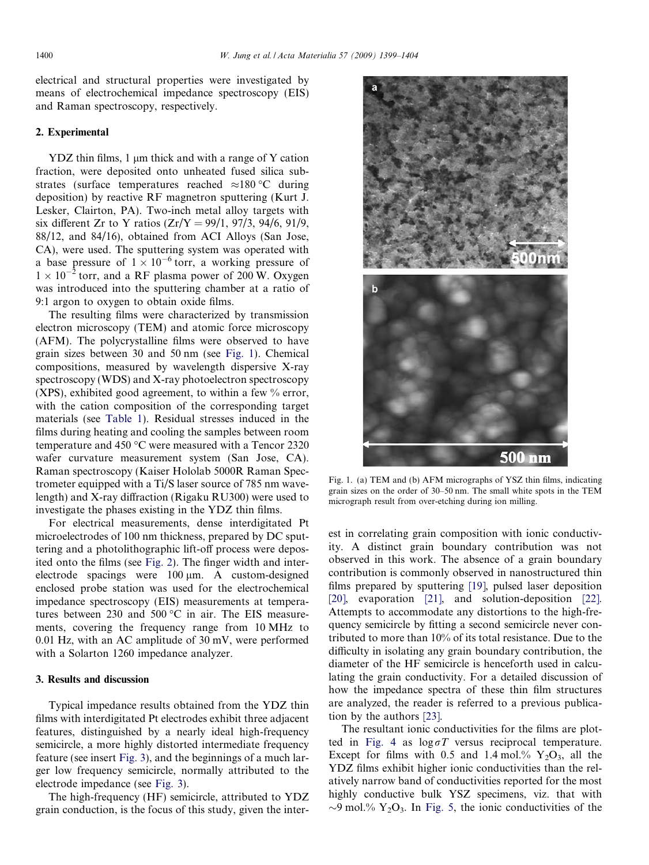electrical and structural properties were investigated by means of electrochemical impedance spectroscopy (EIS) and Raman spectroscopy, respectively.

#### 2. Experimental

 $YDZ$  thin films, 1  $\mu$ m thick and with a range of Y cation fraction, were deposited onto unheated fused silica substrates (surface temperatures reached  $\approx$ 180 °C during deposition) by reactive RF magnetron sputtering (Kurt J. Lesker, Clairton, PA). Two-inch metal alloy targets with six different Zr to Y ratios  $(Zr/Y = 99/1, 97/3, 94/6, 91/9,$ 88/12, and 84/16), obtained from ACI Alloys (San Jose, CA), were used. The sputtering system was operated with a base pressure of  $1 \times 10^{-6}$  torr, a working pressure of  $1 \times 10^{-2}$  torr, and a RF plasma power of 200 W. Oxygen was introduced into the sputtering chamber at a ratio of 9:1 argon to oxygen to obtain oxide films.

The resulting films were characterized by transmission electron microscopy (TEM) and atomic force microscopy (AFM). The polycrystalline films were observed to have grain sizes between 30 and 50 nm (see Fig. 1). Chemical compositions, measured by wavelength dispersive X-ray spectroscopy (WDS) and X-ray photoelectron spectroscopy (XPS), exhibited good agreement, to within a few % error, with the cation composition of the corresponding target materials (see [Table 1\)](#page-2-0). Residual stresses induced in the films during heating and cooling the samples between room temperature and 450 °C were measured with a Tencor 2320 wafer curvature measurement system (San Jose, CA). Raman spectroscopy (Kaiser Hololab 5000R Raman Spectrometer equipped with a Ti/S laser source of 785 nm wavelength) and X-ray diffraction (Rigaku RU300) were used to investigate the phases existing in the YDZ thin films.

For electrical measurements, dense interdigitated Pt microelectrodes of 100 nm thickness, prepared by DC sputtering and a photolithographic lift-off process were deposited onto the films (see [Fig. 2](#page-2-0)). The finger width and interelectrode spacings were  $100 \mu m$ . A custom-designed enclosed probe station was used for the electrochemical impedance spectroscopy (EIS) measurements at temperatures between 230 and 500  $^{\circ}$ C in air. The EIS measurements, covering the frequency range from 10 MHz to 0.01 Hz, with an AC amplitude of 30 mV, were performed with a Solarton 1260 impedance analyzer.

## 3. Results and discussion

Typical impedance results obtained from the YDZ thin films with interdigitated Pt electrodes exhibit three adjacent features, distinguished by a nearly ideal high-frequency semicircle, a more highly distorted intermediate frequency feature (see insert [Fig. 3\)](#page-2-0), and the beginnings of a much larger low frequency semicircle, normally attributed to the electrode impedance (see [Fig. 3\)](#page-2-0).

The high-frequency (HF) semicircle, attributed to YDZ grain conduction, is the focus of this study, given the inter-



Fig. 1. (a) TEM and (b) AFM micrographs of YSZ thin films, indicating grain sizes on the order of 30–50 nm. The small white spots in the TEM micrograph result from over-etching during ion milling.

est in correlating grain composition with ionic conductivity. A distinct grain boundary contribution was not observed in this work. The absence of a grain boundary contribution is commonly observed in nanostructured thin films prepared by sputtering [\[19\],](#page-5-0) pulsed laser deposition [\[20\]](#page-5-0), evaporation [\[21\]](#page-5-0), and solution-deposition [\[22\]](#page-5-0). Attempts to accommodate any distortions to the high-frequency semicircle by fitting a second semicircle never contributed to more than 10% of its total resistance. Due to the difficulty in isolating any grain boundary contribution, the diameter of the HF semicircle is henceforth used in calculating the grain conductivity. For a detailed discussion of how the impedance spectra of these thin film structures are analyzed, the reader is referred to a previous publication by the authors [\[23\].](#page-5-0)

The resultant ionic conductivities for the films are plot-ted in [Fig. 4](#page-3-0) as  $log \sigma T$  versus reciprocal temperature. Except for films with 0.5 and 1.4 mol.%  $Y_2O_3$ , all the YDZ films exhibit higher ionic conductivities than the relatively narrow band of conductivities reported for the most highly conductive bulk YSZ specimens, viz. that with  $\sim$ 9 mol.% Y<sub>2</sub>O<sub>3</sub>. In [Fig. 5](#page-3-0), the ionic conductivities of the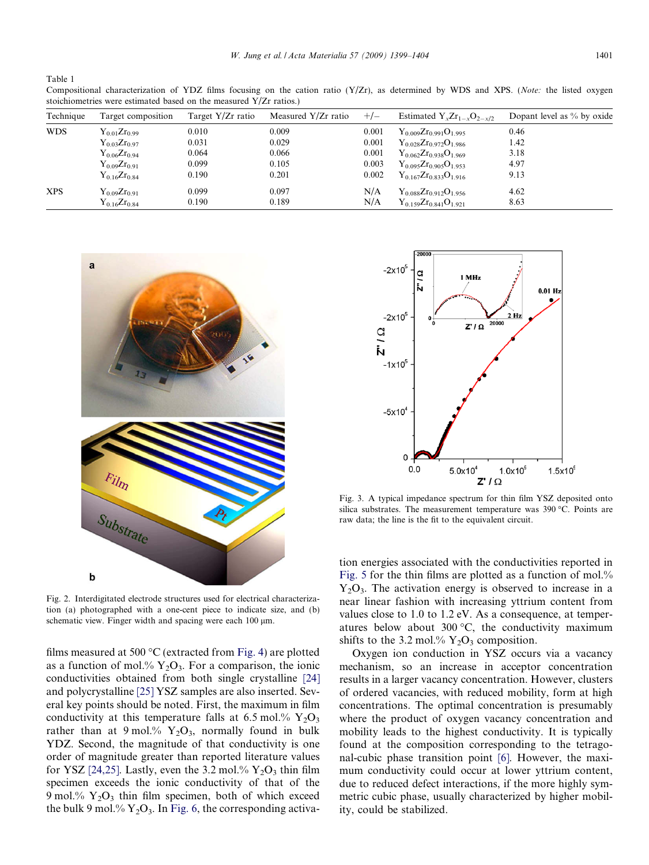<span id="page-2-0"></span>Table 1

Compositional characterization of YDZ films focusing on the cation ratio (Y/Zr), as determined by WDS and XPS. (Note: the listed oxygen stoichiometries were estimated based on the measured Y/Zr ratios.)

| Technique  | Target composition  | Target Y/Zr ratio | Measured Y/Zr ratio | $+/-$ | Estimated $Y_x Zr_{1-x}O_{2-x/2}$ | Dopant level as $%$ by oxide |
|------------|---------------------|-------------------|---------------------|-------|-----------------------------------|------------------------------|
| <b>WDS</b> | $Y_{0.01}Zr_{0.99}$ | 0.010             | 0.009               | 0.001 | $Y_{0.009}Zr_{0.991}O_{1.995}$    | 0.46                         |
|            | $Y_{0.03}Zr_{0.97}$ | 0.031             | 0.029               | 0.001 | $Y_{0.028}Zr_{0.972}O_{1.986}$    | 1.42                         |
|            | $Y_{0.06}Zr_{0.94}$ | 0.064             | 0.066               | 0.001 | $Y_{0.062}Z_{0.938}O_{1.969}$     | 3.18                         |
|            | $Y_{0.09}Zr_{0.91}$ | 0.099             | 0.105               | 0.003 | $Y_{0.095}Zr_{0.905}O_{1.953}$    | 4.97                         |
|            | $Y_{0.16}Zr_{0.84}$ | 0.190             | 0.201               | 0.002 | $Y_{0.167}Zr_{0.833}O_{1.916}$    | 9.13                         |
| <b>XPS</b> | $Y_{0.09}Zr_{0.91}$ | 0.099             | 0.097               | N/A   | $Y_{0.088}Zr_{0.912}O_{1.956}$    | 4.62                         |
|            | $Y_{0.16}Z_{0.84}$  | 0.190             | 0.189               | N/A   | $Y_{0.159}Zr_{0.841}O_{1.921}$    | 8.63                         |



Fig. 2. Interdigitated electrode structures used for electrical characterization (a) photographed with a one-cent piece to indicate size, and (b) schematic view. Finger width and spacing were each  $100 \mu m$ .

films measured at 500  $^{\circ}$ C (extracted from [Fig. 4](#page-3-0)) are plotted as a function of mol.%  $Y_2O_3$ . For a comparison, the ionic conductivities obtained from both single crystalline [\[24\]](#page-5-0) and polycrystalline [\[25\]](#page-5-0) YSZ samples are also inserted. Several key points should be noted. First, the maximum in film conductivity at this temperature falls at 6.5 mol.%  $Y_2O_3$ rather than at 9 mol.%  $Y_2O_3$ , normally found in bulk YDZ. Second, the magnitude of that conductivity is one order of magnitude greater than reported literature values for YSZ [\[24,25\]](#page-5-0). Lastly, even the 3.2 mol.%  $Y_2O_3$  thin film specimen exceeds the ionic conductivity of that of the 9 mol.%  $Y_2O_3$  thin film specimen, both of which exceed the bulk 9 mol.%  $Y_2O_3$ . In [Fig. 6,](#page-3-0) the corresponding activa-



Fig. 3. A typical impedance spectrum for thin film YSZ deposited onto silica substrates. The measurement temperature was  $390\text{ °C}$ . Points are raw data; the line is the fit to the equivalent circuit.

tion energies associated with the conductivities reported in [Fig. 5](#page-3-0) for the thin films are plotted as a function of mol.%  $Y_2O_3$ . The activation energy is observed to increase in a near linear fashion with increasing yttrium content from values close to 1.0 to 1.2 eV. As a consequence, at temperatures below about 300  $\degree$ C, the conductivity maximum shifts to the 3.2 mol.%  $Y_2O_3$  composition.

Oxygen ion conduction in YSZ occurs via a vacancy mechanism, so an increase in acceptor concentration results in a larger vacancy concentration. However, clusters of ordered vacancies, with reduced mobility, form at high concentrations. The optimal concentration is presumably where the product of oxygen vacancy concentration and mobility leads to the highest conductivity. It is typically found at the composition corresponding to the tetragonal-cubic phase transition point [\[6\]](#page-5-0). However, the maximum conductivity could occur at lower yttrium content, due to reduced defect interactions, if the more highly symmetric cubic phase, usually characterized by higher mobility, could be stabilized.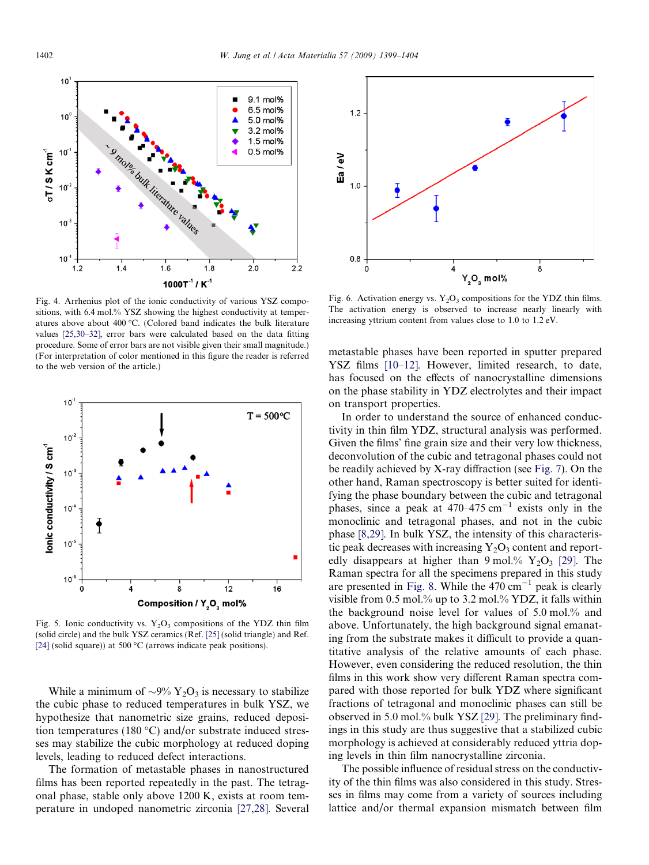<span id="page-3-0"></span>

Fig. 4. Arrhenius plot of the ionic conductivity of various YSZ compositions, with 6.4 mol.% YSZ showing the highest conductivity at temperatures above about 400 °C. (Colored band indicates the bulk literature values [\[25,30–32\],](#page-5-0) error bars were calculated based on the data fitting procedure. Some of error bars are not visible given their small magnitude.) (For interpretation of color mentioned in this figure the reader is referred to the web version of the article.)



Fig. 5. Ionic conductivity vs.  $Y_2O_3$  compositions of the YDZ thin film (solid circle) and the bulk YSZ ceramics (Ref. [\[25\]](#page-5-0) (solid triangle) and Ref. [\[24\]](#page-5-0) (solid square)) at 500 °C (arrows indicate peak positions).

While a minimum of  $\sim 9\%$  Y<sub>2</sub>O<sub>3</sub> is necessary to stabilize the cubic phase to reduced temperatures in bulk YSZ, we hypothesize that nanometric size grains, reduced deposition temperatures (180  $\degree$ C) and/or substrate induced stresses may stabilize the cubic morphology at reduced doping levels, leading to reduced defect interactions.

The formation of metastable phases in nanostructured films has been reported repeatedly in the past. The tetragonal phase, stable only above 1200 K, exists at room temperature in undoped nanometric zirconia [\[27,28\].](#page-5-0) Several



Fig. 6. Activation energy vs.  $Y_2O_3$  compositions for the YDZ thin films. The activation energy is observed to increase nearly linearly with increasing yttrium content from values close to 1.0 to 1.2 eV.

metastable phases have been reported in sputter prepared YSZ films [\[10–12\]](#page-5-0). However, limited research, to date, has focused on the effects of nanocrystalline dimensions on the phase stability in YDZ electrolytes and their impact on transport properties.

In order to understand the source of enhanced conductivity in thin film YDZ, structural analysis was performed. Given the films' fine grain size and their very low thickness, deconvolution of the cubic and tetragonal phases could not be readily achieved by X-ray diffraction (see [Fig. 7](#page-4-0)). On the other hand, Raman spectroscopy is better suited for identifying the phase boundary between the cubic and tetragonal phases, since a peak at  $470-475$  cm<sup>-1</sup> exists only in the monoclinic and tetragonal phases, and not in the cubic phase [\[8,29\].](#page-5-0) In bulk YSZ, the intensity of this characteristic peak decreases with increasing  $Y_2O_3$  content and reportedly disappears at higher than 9 mol.%  $Y_2O_3$  [\[29\]](#page-5-0). The Raman spectra for all the specimens prepared in this study are presented in [Fig. 8](#page-4-0). While the  $470 \text{ cm}^{-1}$  peak is clearly visible from 0.5 mol.% up to 3.2 mol.% YDZ, it falls within the background noise level for values of 5.0 mol.% and above. Unfortunately, the high background signal emanating from the substrate makes it difficult to provide a quantitative analysis of the relative amounts of each phase. However, even considering the reduced resolution, the thin films in this work show very different Raman spectra compared with those reported for bulk YDZ where significant fractions of tetragonal and monoclinic phases can still be observed in 5.0 mol.% bulk YSZ [\[29\]](#page-5-0). The preliminary findings in this study are thus suggestive that a stabilized cubic morphology is achieved at considerably reduced yttria doping levels in thin film nanocrystalline zirconia.

The possible influence of residual stress on the conductivity of the thin films was also considered in this study. Stresses in films may come from a variety of sources including lattice and/or thermal expansion mismatch between film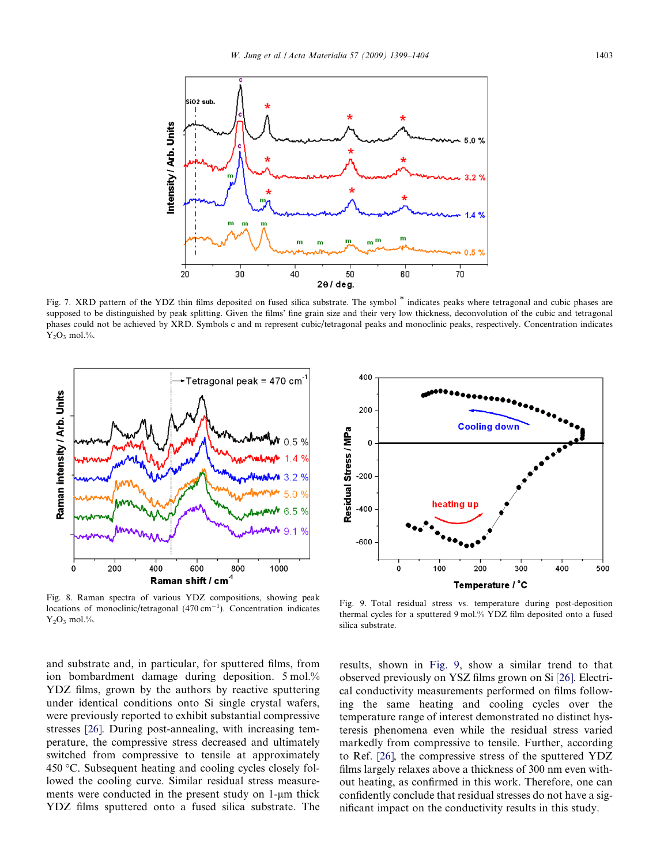<span id="page-4-0"></span>

Fig. 7. XRD pattern of the YDZ thin films deposited on fused silica substrate. The symbol \* indicates peaks where tetragonal and cubic phases are supposed to be distinguished by peak splitting. Given the films' fine grain size and their very low thickness, deconvolution of the cubic and tetragonal phases could not be achieved by XRD. Symbols c and m represent cubic/tetragonal peaks and monoclinic peaks, respectively. Concentration indicates  $Y_2O_3$  mol.%.



Fig. 8. Raman spectra of various YDZ compositions, showing peak locations of monoclinic/tetragonal  $(470 \text{ cm}^{-1})$ . Concentration indicates  $Y_2O_3$  mol.%.

and substrate and, in particular, for sputtered films, from ion bombardment damage during deposition. 5 mol.% YDZ films, grown by the authors by reactive sputtering under identical conditions onto Si single crystal wafers, were previously reported to exhibit substantial compressive stresses [\[26\]](#page-5-0). During post-annealing, with increasing temperature, the compressive stress decreased and ultimately switched from compressive to tensile at approximately 450 °C. Subsequent heating and cooling cycles closely followed the cooling curve. Similar residual stress measurements were conducted in the present study on 1-µm thick YDZ films sputtered onto a fused silica substrate. The



Fig. 9. Total residual stress vs. temperature during post-deposition thermal cycles for a sputtered 9 mol.% YDZ film deposited onto a fused silica substrate.

results, shown in Fig. 9, show a similar trend to that observed previously on YSZ films grown on Si [\[26\]](#page-5-0). Electrical conductivity measurements performed on films following the same heating and cooling cycles over the temperature range of interest demonstrated no distinct hysteresis phenomena even while the residual stress varied markedly from compressive to tensile. Further, according to Ref. [\[26\]](#page-5-0), the compressive stress of the sputtered YDZ films largely relaxes above a thickness of 300 nm even without heating, as confirmed in this work. Therefore, one can confidently conclude that residual stresses do not have a significant impact on the conductivity results in this study.